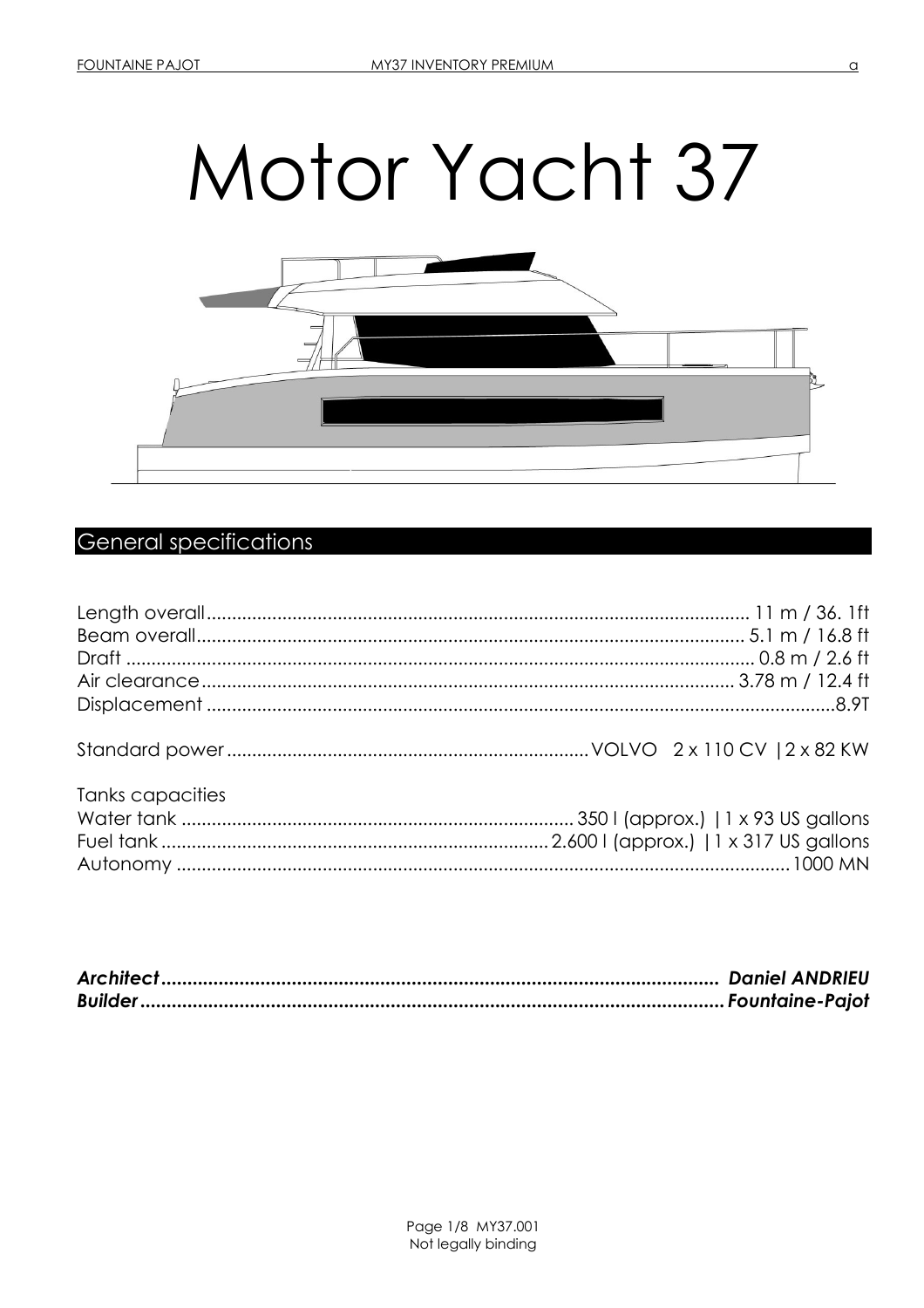# Motor Yacht 37



# **General specifications**

| Tanks capacities |  |
|------------------|--|
|                  |  |
|                  |  |
|                  |  |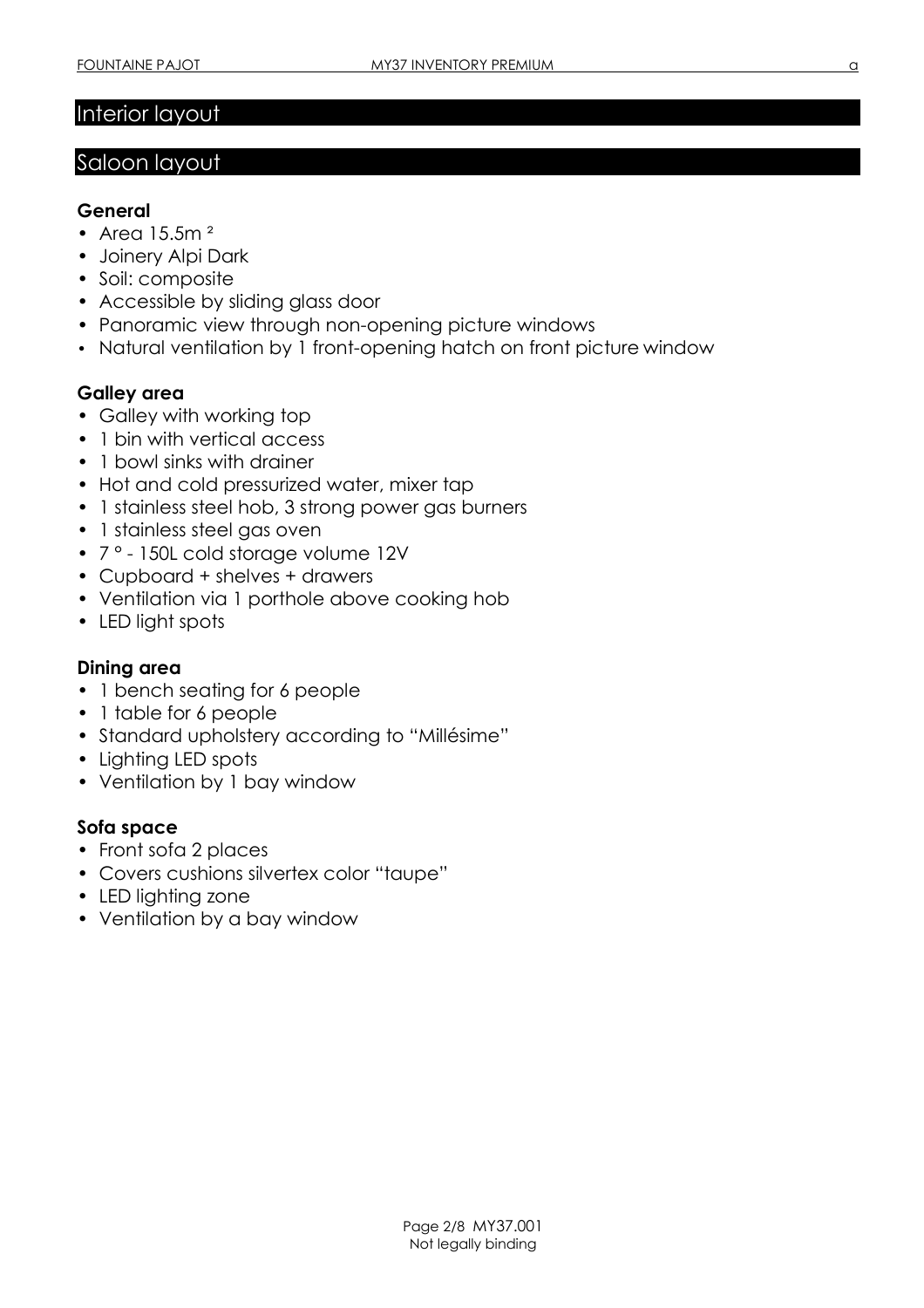# Interior layout

# Saloon layout

#### General

- Area  $15.5m<sup>2</sup>$
- Joinery Alpi Dark
- Soil: composite
- Accessible by sliding glass door
- Panoramic view through non-opening picture windows
- Natural ventilation by 1 front-opening hatch on front picture window

### Galley area

- Galley with working top
- 1 bin with vertical access
- 1 bowl sinks with drainer
- Hot and cold pressurized water, mixer tap
- 1 stainless steel hob, 3 strong power gas burners
- 1 stainless steel gas oven
- 7 ° 150L cold storage volume 12V
- Cupboard + shelves + drawers
- Ventilation via 1 porthole above cooking hob
- LED light spots

#### Dining area

- 1 bench seating for 6 people
- 1 table for 6 people
- Standard upholstery according to "Millésime"
- Lighting LED spots
- Ventilation by 1 bay window

### Sofa space

- Front sofa 2 places
- Covers cushions silvertex color "taupe"
- LED lighting zone
- Ventilation by a bay window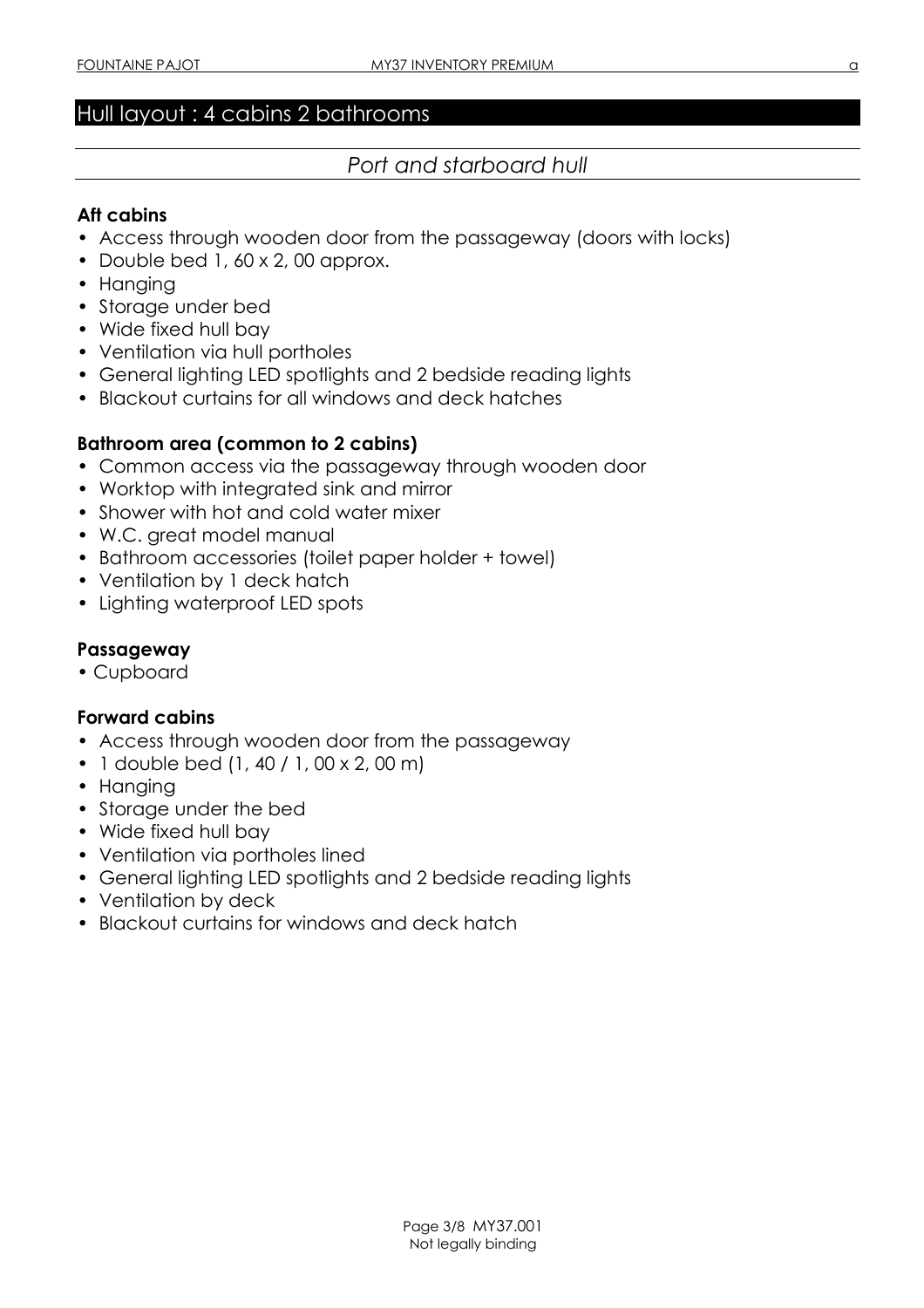# Hull layout : 4 cabins 2 bathrooms

# Port and starboard hull

#### Aft cabins

- Access through wooden door from the passageway (doors with locks)
- Double bed 1, 60 x 2, 00 approx.
- Hanging
- Storage under bed
- Wide fixed hull bay
- Ventilation via hull portholes
- General lighting LED spotlights and 2 bedside reading lights
- Blackout curtains for all windows and deck hatches

#### Bathroom area (common to 2 cabins)

- Common access via the passageway through wooden door
- Worktop with integrated sink and mirror
- Shower with hot and cold water mixer
- W.C. great model manual
- Bathroom accessories (toilet paper holder + towel)
- Ventilation by 1 deck hatch
- Lighting waterproof LED spots

#### Passageway

• Cupboard

#### Forward cabins

- Access through wooden door from the passageway
- 1 double bed (1, 40 / 1, 00 x 2, 00 m)
- Hanging
- Storage under the bed
- Wide fixed hull bay
- Ventilation via portholes lined
- General lighting LED spotlights and 2 bedside reading lights
- Ventilation by deck
- Blackout curtains for windows and deck hatch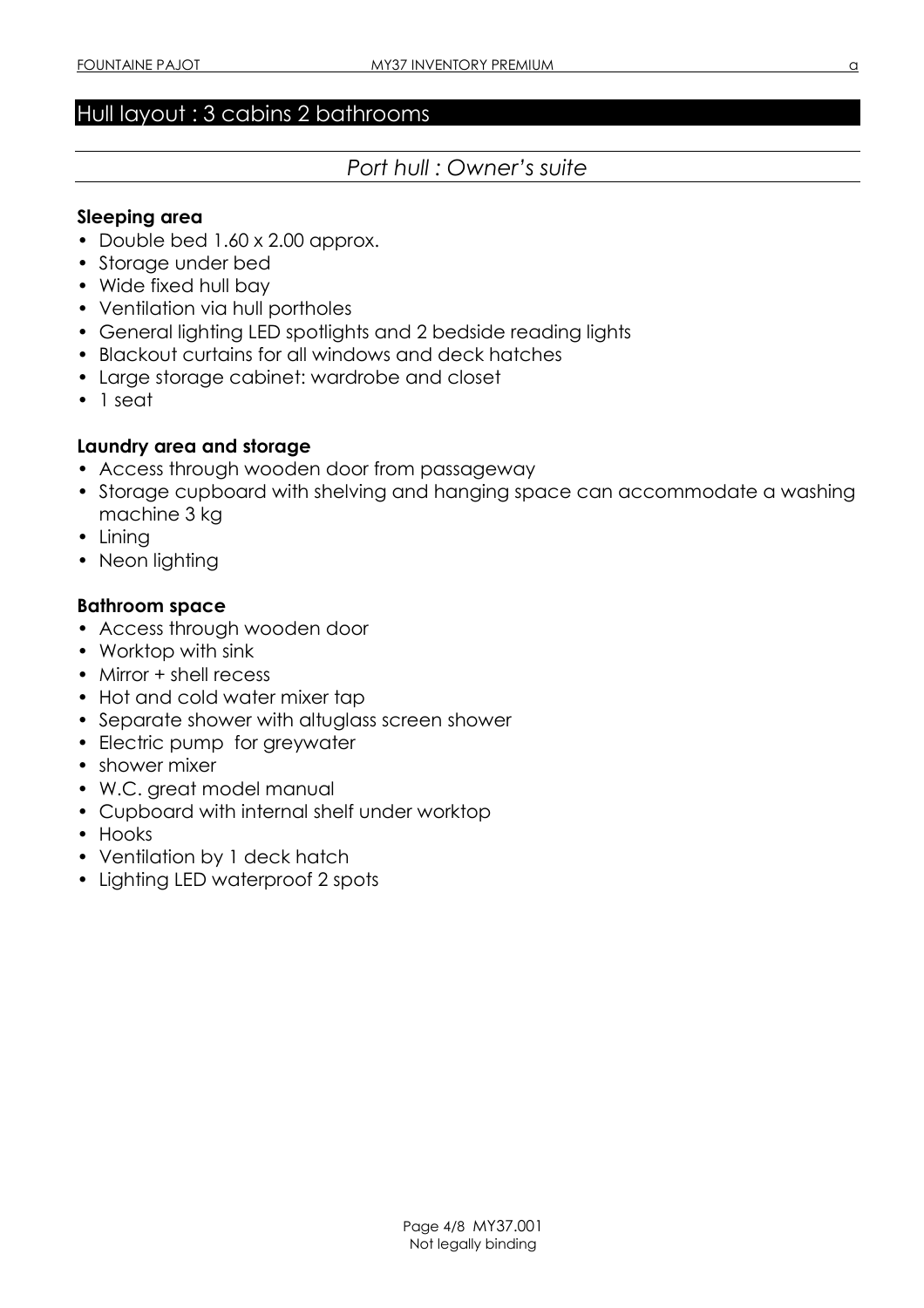# Hull layout : 3 cabins 2 bathrooms

# Port hull : Owner's suite

#### Sleeping area

- Double bed 1.60 x 2.00 approx.
- Storage under bed
- Wide fixed hull bay
- Ventilation via hull portholes
- General lighting LED spotlights and 2 bedside reading lights
- Blackout curtains for all windows and deck hatches
- Large storage cabinet: wardrobe and closet
- 1 seat

#### Laundry area and storage

- Access through wooden door from passageway
- Storage cupboard with shelving and hanging space can accommodate a washing machine 3 kg
- Lining
- Neon lighting

#### Bathroom space

- Access through wooden door
- Worktop with sink
- Mirror + shell recess
- Hot and cold water mixer tap
- Separate shower with altuglass screen shower
- Electric pump for greywater
- shower mixer
- W.C. great model manual
- Cupboard with internal shelf under worktop
- Hooks
- Ventilation by 1 deck hatch
- Lighting LED waterproof 2 spots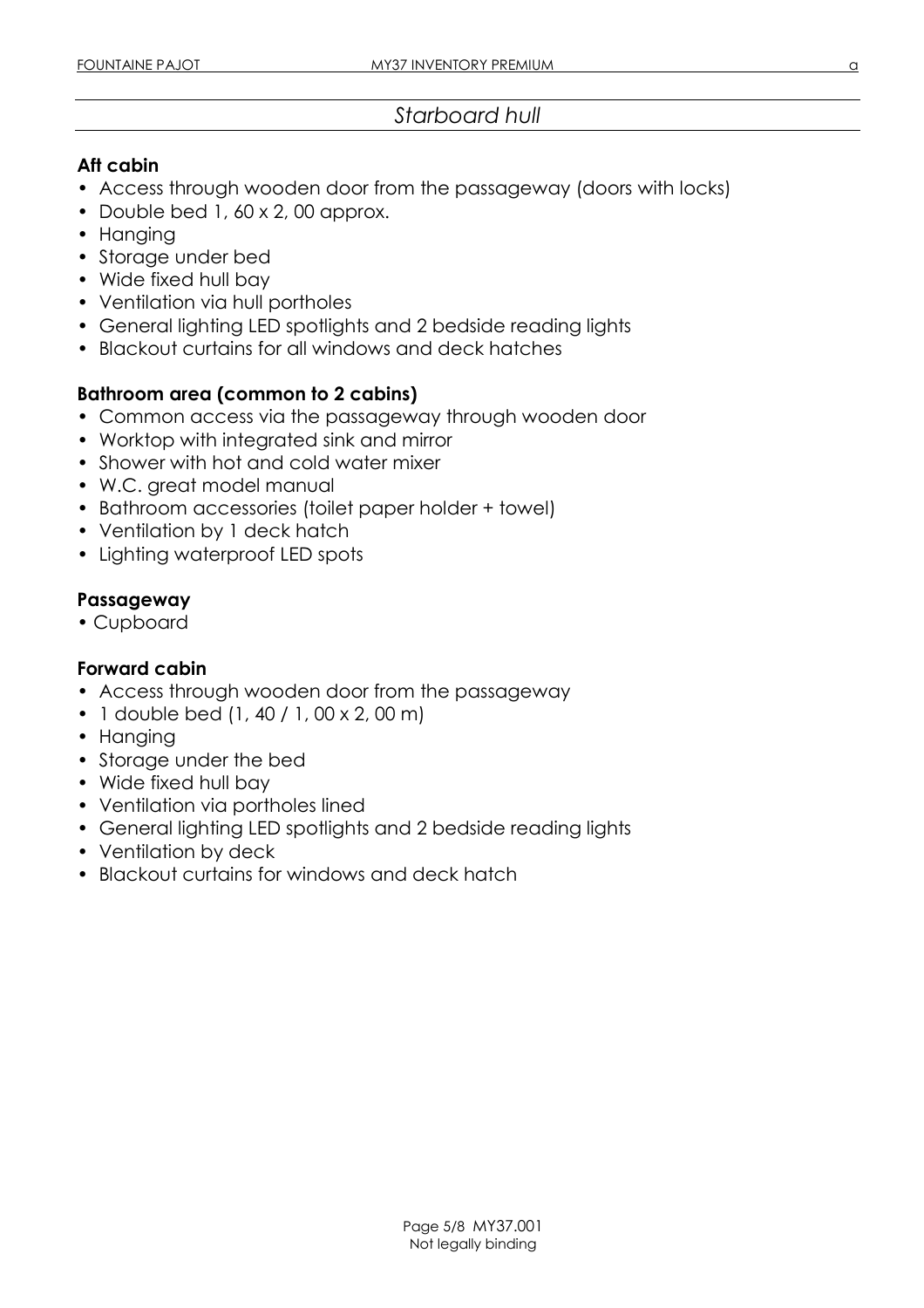#### Aft cabin

- Access through wooden door from the passageway (doors with locks)
- Double bed 1, 60 x 2, 00 approx.
- Hanging
- Storage under bed
- Wide fixed hull bay
- Ventilation via hull portholes
- General lighting LED spotlights and 2 bedside reading lights
- Blackout curtains for all windows and deck hatches

### Bathroom area (common to 2 cabins)

- Common access via the passageway through wooden door
- Worktop with integrated sink and mirror
- Shower with hot and cold water mixer
- W.C. great model manual
- Bathroom accessories (toilet paper holder + towel)
- Ventilation by 1 deck hatch
- Lighting waterproof LED spots

### Passageway

• Cupboard

### Forward cabin

- Access through wooden door from the passageway
- 1 double bed (1, 40 / 1, 00 x 2, 00 m)
- Hanging
- Storage under the bed
- Wide fixed hull bay
- Ventilation via portholes lined
- General lighting LED spotlights and 2 bedside reading lights
- Ventilation by deck
- Blackout curtains for windows and deck hatch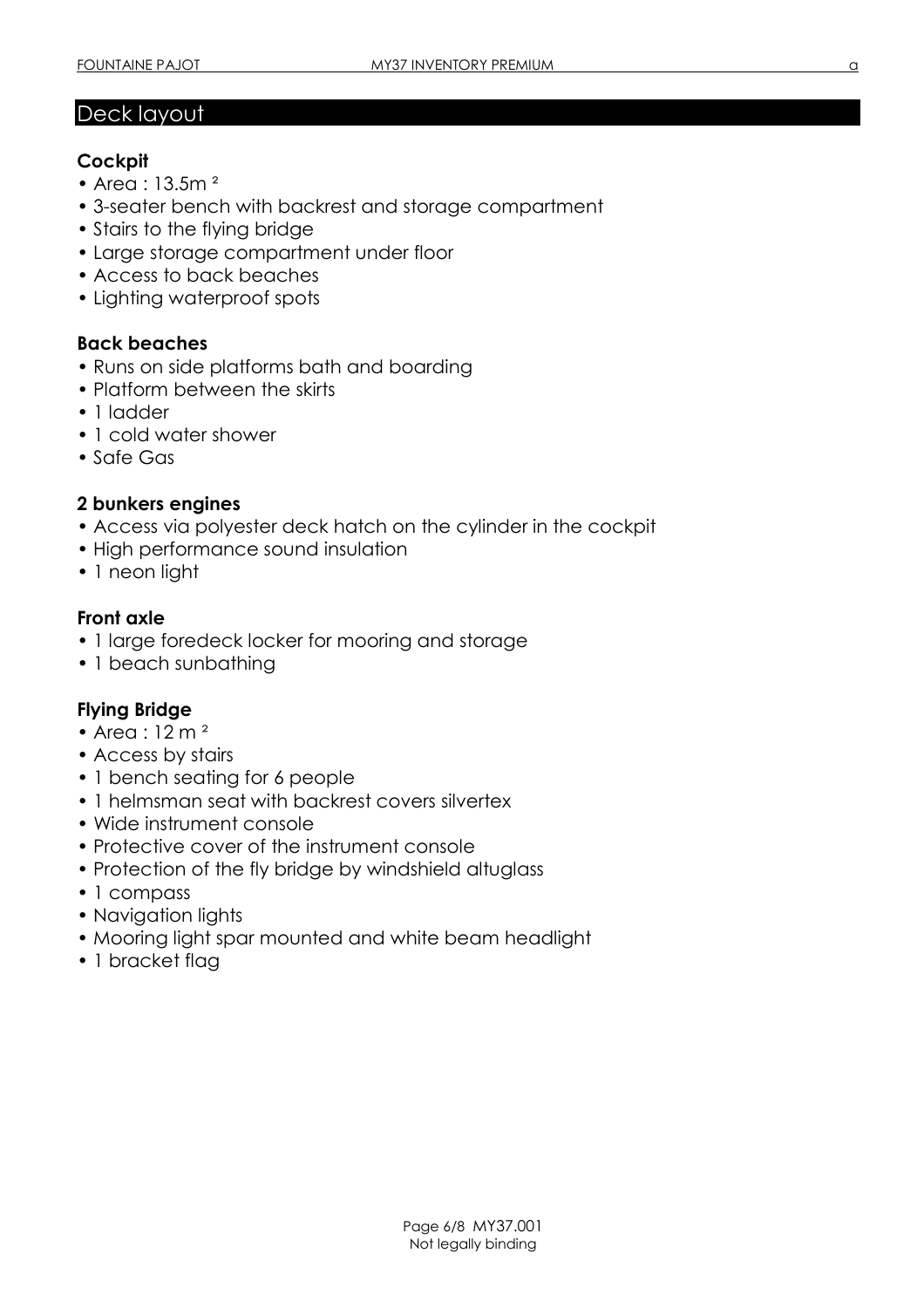# Deck layout

#### **Cockpit**

- Area : 13.5m<sup>2</sup>
- 3-seater bench with backrest and storage compartment
- Stairs to the flying bridge
- Large storage compartment under floor
- Access to back beaches
- Lighting waterproof spots

### Back beaches

- Runs on side platforms bath and boarding
- Platform between the skirts
- 1 ladder
- 1 cold water shower
- Safe Gas

#### 2 bunkers engines

- Access via polyester deck hatch on the cylinder in the cockpit
- High performance sound insulation
- 1 neon light

### Front axle

- 1 large foredeck locker for mooring and storage
- 1 beach sunbathing

#### Flying Bridge

- Area : 12 m<sup>2</sup>
- Access by stairs
- 1 bench seating for 6 people
- 1 helmsman seat with backrest covers silvertex
- Wide instrument console
- Protective cover of the instrument console
- Protection of the fly bridge by windshield altuglass
- 1 compass
- Navigation lights
- Mooring light spar mounted and white beam headlight
- 1 bracket flag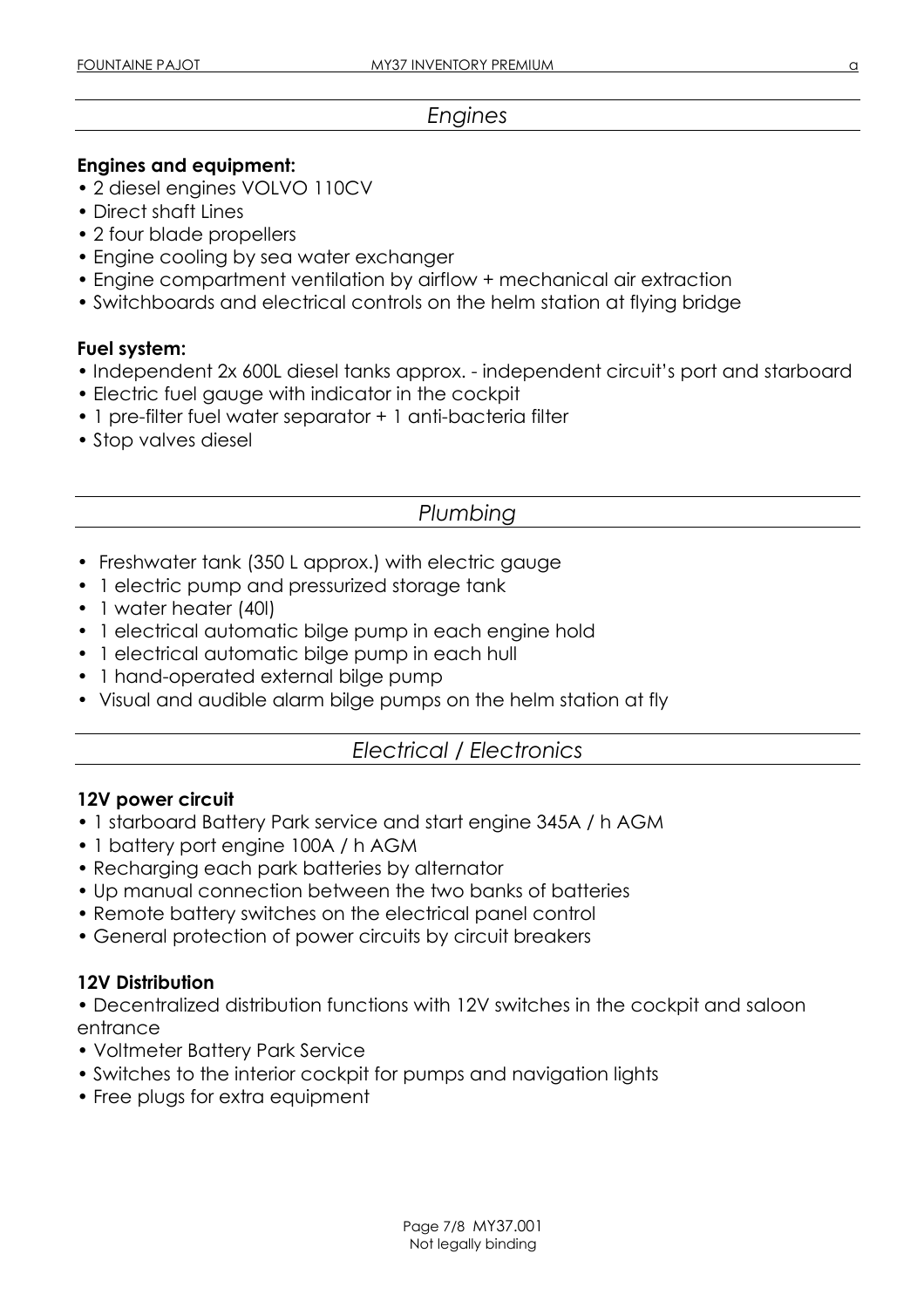#### Engines

#### Engines and equipment:

- 2 diesel engines VOLVO 110CV
- Direct shaft Lines
- 2 four blade propellers
- Engine cooling by sea water exchanger
- Engine compartment ventilation by airflow + mechanical air extraction
- Switchboards and electrical controls on the helm station at flying bridge

#### Fuel system:

- Independent 2x 600L diesel tanks approx. independent circuit's port and starboard
- Electric fuel gauge with indicator in the cockpit
- 1 pre-filter fuel water separator + 1 anti-bacteria filter
- Stop valves diesel

# Plumbing

- Freshwater tank (350 L approx.) with electric gauge
- 1 electric pump and pressurized storage tank
- 1 water heater (40I)
- 1 electrical automatic bilge pump in each engine hold
- 1 electrical automatic bilge pump in each hull
- 1 hand-operated external bilge pump
- Visual and audible alarm bilge pumps on the helm station at fly

# Electrical / Electronics

#### 12V power circuit

- 1 starboard Battery Park service and start engine 345A / h AGM
- 1 battery port engine 100A / h AGM
- Recharging each park batteries by alternator
- Up manual connection between the two banks of batteries
- Remote battery switches on the electrical panel control
- General protection of power circuits by circuit breakers

#### 12V Distribution

• Decentralized distribution functions with 12V switches in the cockpit and saloon entrance

- Voltmeter Battery Park Service
- Switches to the interior cockpit for pumps and navigation lights
- Free plugs for extra equipment